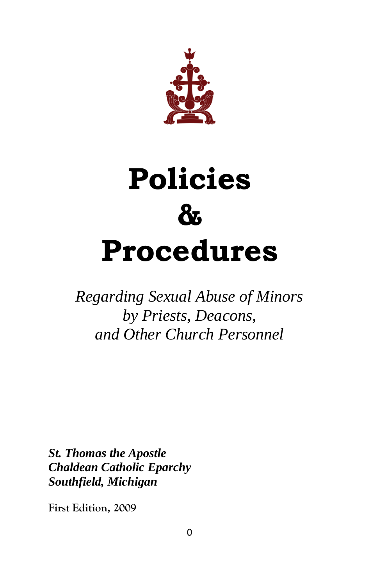

# **Policies & Procedures**

*Regarding Sexual Abuse of Minors by Priests, Deacons, and Other Church Personnel* 

*St. Thomas the Apostle Chaldean Catholic Eparchy Southfield, Michigan*

**First Edition, 2009**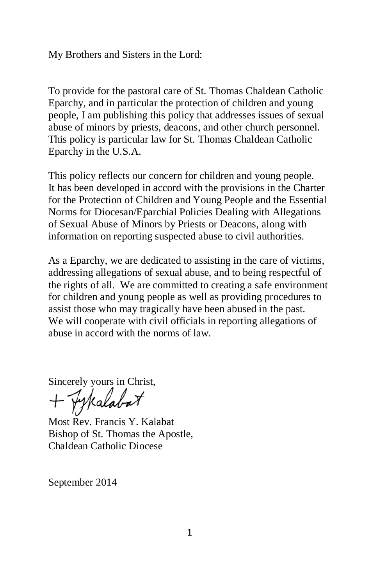My Brothers and Sisters in the Lord:

To provide for the pastoral care of St. Thomas Chaldean Catholic Eparchy, and in particular the protection of children and young people, I am publishing this policy that addresses issues of sexual abuse of minors by priests, deacons, and other church personnel. This policy is particular law for St. Thomas Chaldean Catholic Eparchy in the U.S.A.

This policy reflects our concern for children and young people. It has been developed in accord with the provisions in the Charter for the Protection of Children and Young People and the Essential Norms for Diocesan/Eparchial Policies Dealing with Allegations of Sexual Abuse of Minors by Priests or Deacons, along with information on reporting suspected abuse to civil authorities.

As a Eparchy, we are dedicated to assisting in the care of victims, addressing allegations of sexual abuse, and to being respectful of the rights of all. We are committed to creating a safe environment for children and young people as well as providing procedures to assist those who may tragically have been abused in the past. We will cooperate with civil officials in reporting allegations of abuse in accord with the norms of law.

Sincerely yours in Christ,<br>+ Py Kalabat

Most Rev. Francis Y. Kalabat Bishop of St. Thomas the Apostle, Chaldean Catholic Diocese

September 2014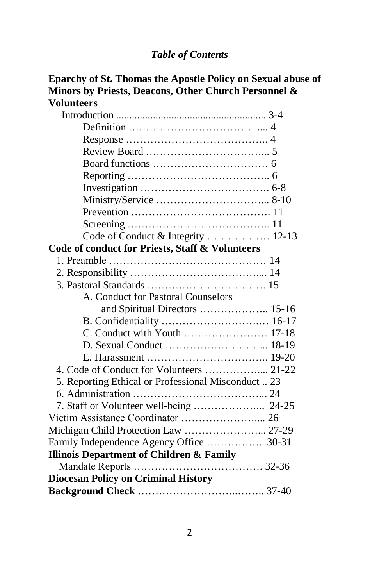#### *Table of Contents*

| Eparchy of St. Thomas the Apostle Policy on Sexual abuse of<br>Minors by Priests, Deacons, Other Church Personnel & |  |
|---------------------------------------------------------------------------------------------------------------------|--|
| <b>Volunteers</b>                                                                                                   |  |
|                                                                                                                     |  |
|                                                                                                                     |  |
|                                                                                                                     |  |
|                                                                                                                     |  |
|                                                                                                                     |  |
|                                                                                                                     |  |
|                                                                                                                     |  |
|                                                                                                                     |  |
|                                                                                                                     |  |
|                                                                                                                     |  |
| Code of Conduct & Integrity  12-13                                                                                  |  |
| Code of conduct for Priests, Staff & Volunteers                                                                     |  |
|                                                                                                                     |  |
|                                                                                                                     |  |
|                                                                                                                     |  |
| A. Conduct for Pastoral Counselors                                                                                  |  |
| and Spiritual Directors  15-16                                                                                      |  |
|                                                                                                                     |  |
|                                                                                                                     |  |
|                                                                                                                     |  |
|                                                                                                                     |  |
| 4. Code of Conduct for Volunteers  21-22                                                                            |  |
| 5. Reporting Ethical or Professional Misconduct  23                                                                 |  |
|                                                                                                                     |  |
|                                                                                                                     |  |
|                                                                                                                     |  |
| Michigan Child Protection Law  27-29                                                                                |  |
| Family Independence Agency Office  30-31                                                                            |  |
| <b>Illinois Department of Children &amp; Family</b>                                                                 |  |
|                                                                                                                     |  |
| <b>Diocesan Policy on Criminal History</b>                                                                          |  |
|                                                                                                                     |  |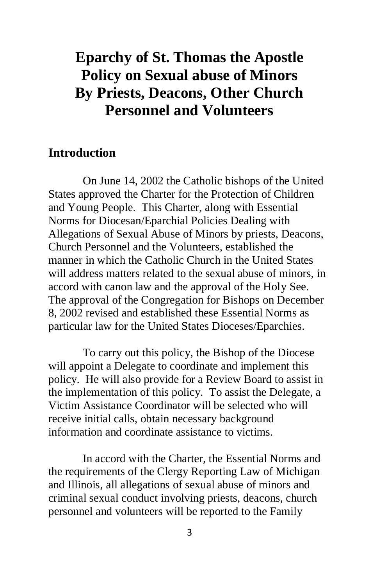# **Eparchy of St. Thomas the Apostle Policy on Sexual abuse of Minors By Priests, Deacons, Other Church Personnel and Volunteers**

#### **Introduction**

On June 14, 2002 the Catholic bishops of the United States approved the Charter for the Protection of Children and Young People. This Charter, along with Essential Norms for Diocesan/Eparchial Policies Dealing with Allegations of Sexual Abuse of Minors by priests, Deacons, Church Personnel and the Volunteers, established the manner in which the Catholic Church in the United States will address matters related to the sexual abuse of minors, in accord with canon law and the approval of the Holy See. The approval of the Congregation for Bishops on December 8, 2002 revised and established these Essential Norms as particular law for the United States Dioceses/Eparchies.

To carry out this policy, the Bishop of the Diocese will appoint a Delegate to coordinate and implement this policy. He will also provide for a Review Board to assist in the implementation of this policy. To assist the Delegate, a Victim Assistance Coordinator will be selected who will receive initial calls, obtain necessary background information and coordinate assistance to victims.

In accord with the Charter, the Essential Norms and the requirements of the Clergy Reporting Law of Michigan and Illinois, all allegations of sexual abuse of minors and criminal sexual conduct involving priests, deacons, church personnel and volunteers will be reported to the Family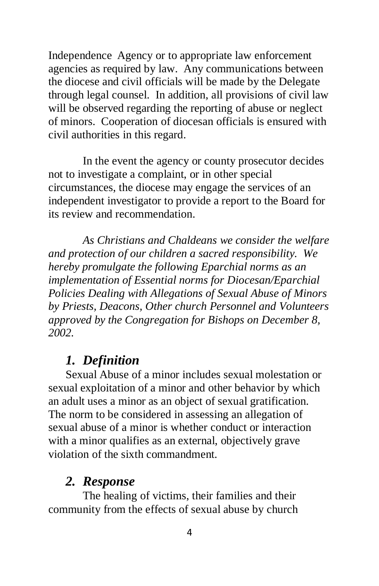Independence Agency or to appropriate law enforcement agencies as required by law. Any communications between the diocese and civil officials will be made by the Delegate through legal counsel. In addition, all provisions of civil law will be observed regarding the reporting of abuse or neglect of minors. Cooperation of diocesan officials is ensured with civil authorities in this regard.

In the event the agency or county prosecutor decides not to investigate a complaint, or in other special circumstances, the diocese may engage the services of an independent investigator to provide a report to the Board for its review and recommendation.

*As Christians and Chaldeans we consider the welfare and protection of our children a sacred responsibility. We hereby promulgate the following Eparchial norms as an implementation of Essential norms for Diocesan/Eparchial Policies Dealing with Allegations of Sexual Abuse of Minors by Priests, Deacons, Other church Personnel and Volunteers approved by the Congregation for Bishops on December 8, 2002.*

#### *1. Definition*

 Sexual Abuse of a minor includes sexual molestation or sexual exploitation of a minor and other behavior by which an adult uses a minor as an object of sexual gratification. The norm to be considered in assessing an allegation of sexual abuse of a minor is whether conduct or interaction with a minor qualifies as an external, objectively grave violation of the sixth commandment.

#### *2. Response*

The healing of victims, their families and their community from the effects of sexual abuse by church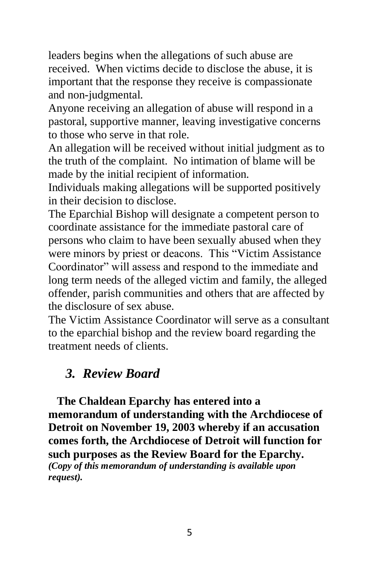leaders begins when the allegations of such abuse are received. When victims decide to disclose the abuse, it is important that the response they receive is compassionate and non-judgmental.

Anyone receiving an allegation of abuse will respond in a pastoral, supportive manner, leaving investigative concerns to those who serve in that role.

An allegation will be received without initial judgment as to the truth of the complaint. No intimation of blame will be made by the initial recipient of information.

Individuals making allegations will be supported positively in their decision to disclose.

The Eparchial Bishop will designate a competent person to coordinate assistance for the immediate pastoral care of persons who claim to have been sexually abused when they were minors by priest or deacons. This "Victim Assistance Coordinator" will assess and respond to the immediate and long term needs of the alleged victim and family, the alleged offender, parish communities and others that are affected by the disclosure of sex abuse.

The Victim Assistance Coordinator will serve as a consultant to the eparchial bishop and the review board regarding the treatment needs of clients.

#### *3. Review Board*

 **The Chaldean Eparchy has entered into a memorandum of understanding with the Archdiocese of Detroit on November 19, 2003 whereby if an accusation comes forth, the Archdiocese of Detroit will function for such purposes as the Review Board for the Eparchy.** *(Copy of this memorandum of understanding is available upon request).*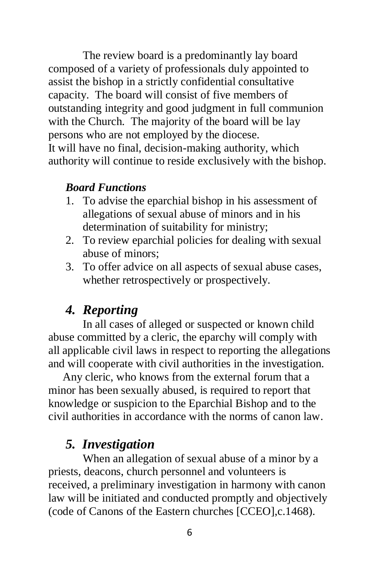The review board is a predominantly lay board composed of a variety of professionals duly appointed to assist the bishop in a strictly confidential consultative capacity. The board will consist of five members of outstanding integrity and good judgment in full communion with the Church. The majority of the board will be lay persons who are not employed by the diocese. It will have no final, decision-making authority, which authority will continue to reside exclusively with the bishop.

#### *Board Functions*

- 1. To advise the eparchial bishop in his assessment of allegations of sexual abuse of minors and in his determination of suitability for ministry;
- 2. To review eparchial policies for dealing with sexual abuse of minors;
- 3. To offer advice on all aspects of sexual abuse cases, whether retrospectively or prospectively.

## *4. Reporting*

In all cases of alleged or suspected or known child abuse committed by a cleric, the eparchy will comply with all applicable civil laws in respect to reporting the allegations and will cooperate with civil authorities in the investigation.

 Any cleric, who knows from the external forum that a minor has been sexually abused, is required to report that knowledge or suspicion to the Eparchial Bishop and to the civil authorities in accordance with the norms of canon law.

#### *5. Investigation*

When an allegation of sexual abuse of a minor by a priests, deacons, church personnel and volunteers is received, a preliminary investigation in harmony with canon law will be initiated and conducted promptly and objectively (code of Canons of the Eastern churches [CCEO],c.1468).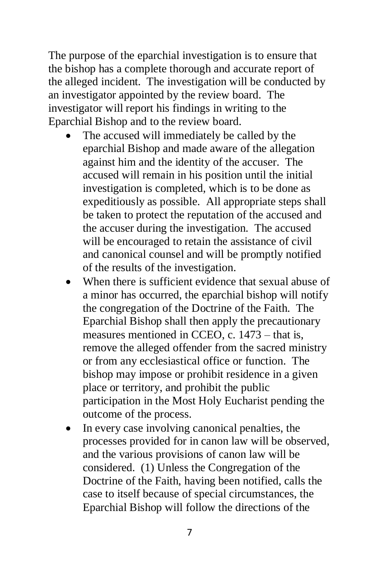The purpose of the eparchial investigation is to ensure that the bishop has a complete thorough and accurate report of the alleged incident. The investigation will be conducted by an investigator appointed by the review board. The investigator will report his findings in writing to the Eparchial Bishop and to the review board.

- The accused will immediately be called by the eparchial Bishop and made aware of the allegation against him and the identity of the accuser. The accused will remain in his position until the initial investigation is completed, which is to be done as expeditiously as possible. All appropriate steps shall be taken to protect the reputation of the accused and the accuser during the investigation. The accused will be encouraged to retain the assistance of civil and canonical counsel and will be promptly notified of the results of the investigation.
- When there is sufficient evidence that sexual abuse of a minor has occurred, the eparchial bishop will notify the congregation of the Doctrine of the Faith. The Eparchial Bishop shall then apply the precautionary measures mentioned in CCEO, c. 1473 – that is, remove the alleged offender from the sacred ministry or from any ecclesiastical office or function. The bishop may impose or prohibit residence in a given place or territory, and prohibit the public participation in the Most Holy Eucharist pending the outcome of the process.
- In every case involving canonical penalties, the processes provided for in canon law will be observed, and the various provisions of canon law will be considered. (1) Unless the Congregation of the Doctrine of the Faith, having been notified, calls the case to itself because of special circumstances, the Eparchial Bishop will follow the directions of the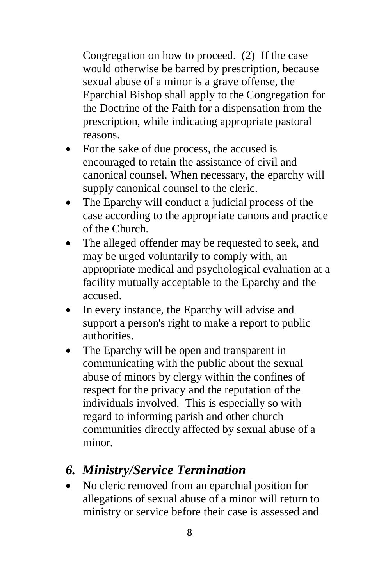Congregation on how to proceed. (2) If the case would otherwise be barred by prescription, because sexual abuse of a minor is a grave offense, the Eparchial Bishop shall apply to the Congregation for the Doctrine of the Faith for a dispensation from the prescription, while indicating appropriate pastoral reasons.

- For the sake of due process, the accused is encouraged to retain the assistance of civil and canonical counsel. When necessary, the eparchy will supply canonical counsel to the cleric.
- The Eparchy will conduct a judicial process of the case according to the appropriate canons and practice of the Church.
- The alleged offender may be requested to seek, and may be urged voluntarily to comply with, an appropriate medical and psychological evaluation at a facility mutually acceptable to the Eparchy and the accused.
- In every instance, the Eparchy will advise and support a person's right to make a report to public authorities.
- The Eparchy will be open and transparent in communicating with the public about the sexual abuse of minors by clergy within the confines of respect for the privacy and the reputation of the individuals involved. This is especially so with regard to informing parish and other church communities directly affected by sexual abuse of a minor.
- *6. Ministry/Service Termination*
- No cleric removed from an eparchial position for allegations of sexual abuse of a minor will return to ministry or service before their case is assessed and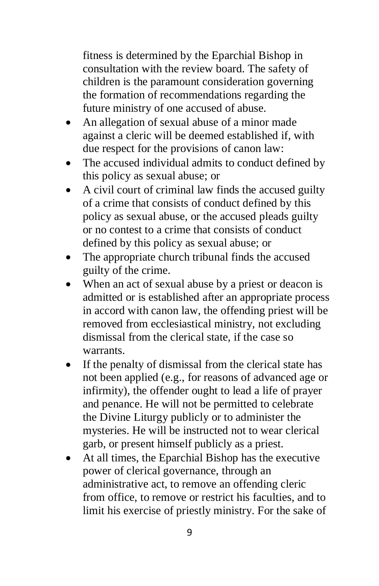fitness is determined by the Eparchial Bishop in consultation with the review board. The safety of children is the paramount consideration governing the formation of recommendations regarding the future ministry of one accused of abuse.

- An allegation of sexual abuse of a minor made against a cleric will be deemed established if, with due respect for the provisions of canon law:
- The accused individual admits to conduct defined by this policy as sexual abuse; or
- A civil court of criminal law finds the accused guilty of a crime that consists of conduct defined by this policy as sexual abuse, or the accused pleads guilty or no contest to a crime that consists of conduct defined by this policy as sexual abuse; or
- The appropriate church tribunal finds the accused guilty of the crime.
- When an act of sexual abuse by a priest or deacon is admitted or is established after an appropriate process in accord with canon law, the offending priest will be removed from ecclesiastical ministry, not excluding dismissal from the clerical state, if the case so warrants.
- If the penalty of dismissal from the clerical state has not been applied (e.g., for reasons of advanced age or infirmity), the offender ought to lead a life of prayer and penance. He will not be permitted to celebrate the Divine Liturgy publicly or to administer the mysteries. He will be instructed not to wear clerical garb, or present himself publicly as a priest.
- At all times, the Eparchial Bishop has the executive power of clerical governance, through an administrative act, to remove an offending cleric from office, to remove or restrict his faculties, and to limit his exercise of priestly ministry. For the sake of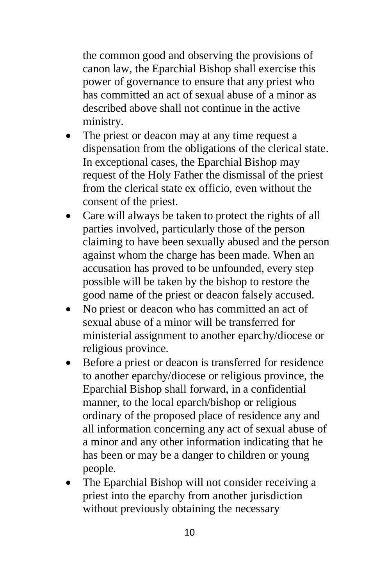the common good and observing the provisions of canon law, the Eparchial Bishop shall exercise this power of governance to ensure that any priest who has committed an act of sexual abuse of a minor as described above shall not continue in the active ministry.

- The priest or deacon may at any time request a dispensation from the obligations of the clerical state. In exceptional cases, the Eparchial Bishop may request of the Holy Father the dismissal of the priest from the clerical state ex officio, even without the consent of the priest.
- Care will always be taken to protect the rights of all parties involved, particularly those of the person claiming to have been sexually abused and the person against whom the charge has been made. When an accusation has proved to be unfounded, every step possible will be taken by the bishop to restore the good name of the priest or deacon falsely accused.
- No priest or deacon who has committed an act of sexual abuse of a minor will be transferred for ministerial assignment to another eparchy/diocese or religious province.
- Before a priest or deacon is transferred for residence to another eparchy/diocese or religious province, the Eparchial Bishop shall forward, in a confidential manner, to the local eparch/bishop or religious ordinary of the proposed place of residence any and all information concerning any act of sexual abuse of a minor and any other information indicating that he has been or may be a danger to children or young people.
- The Eparchial Bishop will not consider receiving a priest into the eparchy from another jurisdiction without previously obtaining the necessary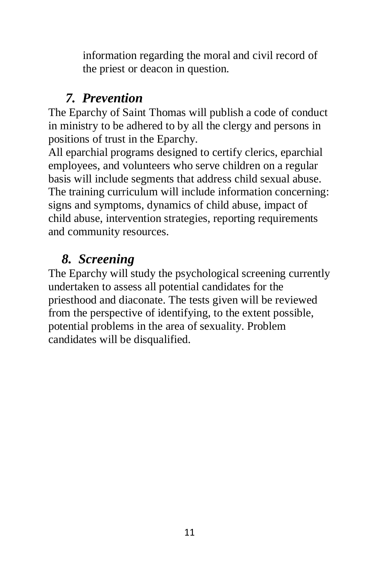information regarding the moral and civil record of the priest or deacon in question.

## *7. Prevention*

The Eparchy of Saint Thomas will publish a code of conduct in ministry to be adhered to by all the clergy and persons in positions of trust in the Eparchy.

All eparchial programs designed to certify clerics, eparchial employees, and volunteers who serve children on a regular basis will include segments that address child sexual abuse. The training curriculum will include information concerning: signs and symptoms, dynamics of child abuse, impact of child abuse, intervention strategies, reporting requirements and community resources.

# *8. Screening*

The Eparchy will study the psychological screening currently undertaken to assess all potential candidates for the priesthood and diaconate. The tests given will be reviewed from the perspective of identifying, to the extent possible, potential problems in the area of sexuality. Problem candidates will be disqualified.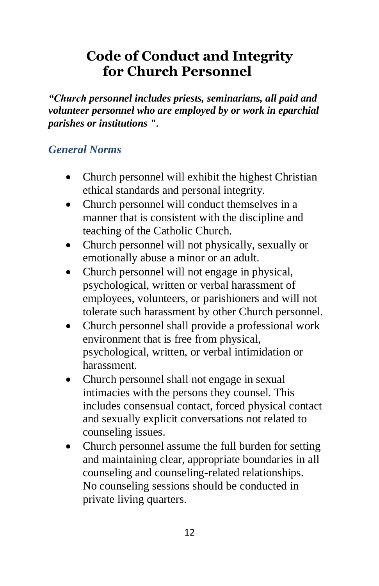# **Code of Conduct and Integrity for Church Personnel**

*"Church personnel includes priests, seminarians, all paid and volunteer personnel who are employed by or work in eparchial parishes or institutions ".* 

#### *General Norms*

- Church personnel will exhibit the highest Christian ethical standards and personal integrity.
- Church personnel will conduct themselves in a manner that is consistent with the discipline and teaching of the Catholic Church.
- Church personnel will not physically, sexually or emotionally abuse a minor or an adult.
- Church personnel will not engage in physical, psychological, written or verbal harassment of employees, volunteers, or parishioners and will not tolerate such harassment by other Church personnel.
- Church personnel shall provide a professional work environment that is free from physical, psychological, written, or verbal intimidation or harassment.
- Church personnel shall not engage in sexual intimacies with the persons they counsel. This includes consensual contact, forced physical contact and sexually explicit conversations not related to counseling issues.
- Church personnel assume the full burden for setting and maintaining clear, appropriate boundaries in all counseling and counseling-related relationships. No counseling sessions should be conducted in private living quarters.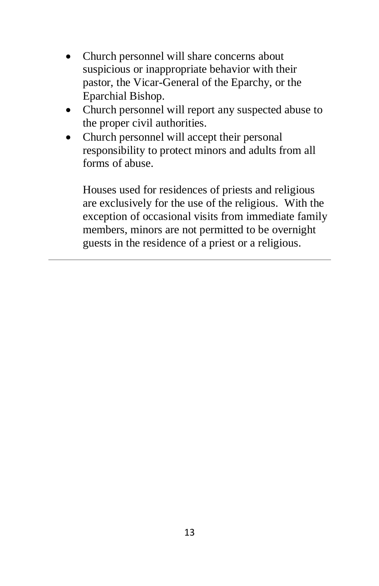- Church personnel will share concerns about suspicious or inappropriate behavior with their pastor, the Vicar-General of the Eparchy, or the Eparchial Bishop.
- Church personnel will report any suspected abuse to the proper civil authorities.
- Church personnel will accept their personal responsibility to protect minors and adults from all forms of abuse.

Houses used for residences of priests and religious are exclusively for the use of the religious. With the exception of occasional visits from immediate family members, minors are not permitted to be overnight guests in the residence of a priest or a religious.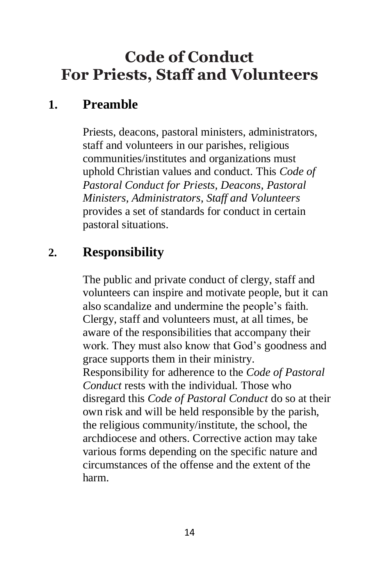# **Code of Conduct For Priests, Staff and Volunteers**

## **1. Preamble**

Priests, deacons, pastoral ministers, administrators, staff and volunteers in our parishes, religious communities/institutes and organizations must uphold Christian values and conduct. This *Code of Pastoral Conduct for Priests, Deacons, Pastoral Ministers, Administrators, Staff and Volunteers*  provides a set of standards for conduct in certain pastoral situations.

# **2. Responsibility**

The public and private conduct of clergy, staff and volunteers can inspire and motivate people, but it can also scandalize and undermine the people's faith. Clergy, staff and volunteers must, at all times, be aware of the responsibilities that accompany their work. They must also know that God's goodness and grace supports them in their ministry. Responsibility for adherence to the *Code of Pastoral Conduct* rests with the individual. Those who disregard this *Code of Pastoral Conduct* do so at their own risk and will be held responsible by the parish, the religious community/institute, the school, the archdiocese and others. Corrective action may take various forms depending on the specific nature and circumstances of the offense and the extent of the harm.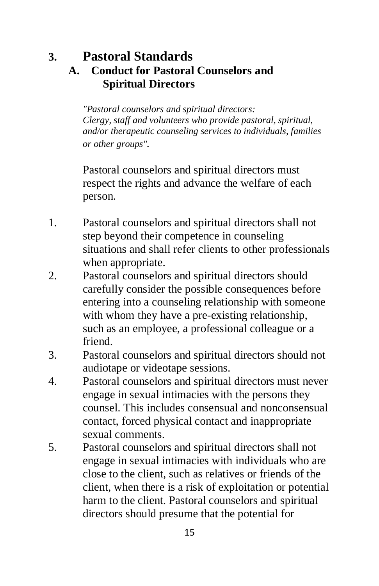#### **3. Pastoral Standards A. Conduct for Pastoral Counselors and Spiritual Directors**

*"Pastoral counselors and spiritual directors: Clergy, staff and volunteers who provide pastoral, spiritual, and/or therapeutic counseling services to individuals, families or other groups".*

Pastoral counselors and spiritual directors must respect the rights and advance the welfare of each person.

- 1. Pastoral counselors and spiritual directors shall not step beyond their competence in counseling situations and shall refer clients to other professionals when appropriate.
- 2. Pastoral counselors and spiritual directors should carefully consider the possible consequences before entering into a counseling relationship with someone with whom they have a pre-existing relationship, such as an employee, a professional colleague or a friend.
- 3. Pastoral counselors and spiritual directors should not audiotape or videotape sessions.
- 4. Pastoral counselors and spiritual directors must never engage in sexual intimacies with the persons they counsel. This includes consensual and nonconsensual contact, forced physical contact and inappropriate sexual comments.
- 5. Pastoral counselors and spiritual directors shall not engage in sexual intimacies with individuals who are close to the client, such as relatives or friends of the client, when there is a risk of exploitation or potential harm to the client. Pastoral counselors and spiritual directors should presume that the potential for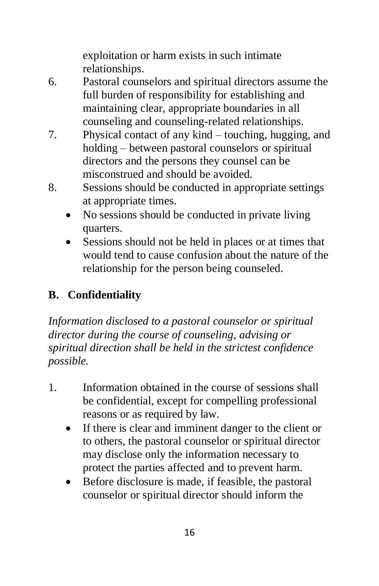exploitation or harm exists in such intimate relationships.

- 6. Pastoral counselors and spiritual directors assume the full burden of responsibility for establishing and maintaining clear, appropriate boundaries in all counseling and counseling-related relationships.
- 7. Physical contact of any kind touching, hugging, and holding – between pastoral counselors or spiritual directors and the persons they counsel can be misconstrued and should be avoided.
- 8. Sessions should be conducted in appropriate settings at appropriate times.
	- No sessions should be conducted in private living quarters.
	- Sessions should not be held in places or at times that would tend to cause confusion about the nature of the relationship for the person being counseled.

## **B. Confidentiality**

*Information disclosed to a pastoral counselor or spiritual director during the course of counseling, advising or spiritual direction shall be held in the strictest confidence possible.*

- 1. Information obtained in the course of sessions shall be confidential, except for compelling professional reasons or as required by law.
	- If there is clear and imminent danger to the client or to others, the pastoral counselor or spiritual director may disclose only the information necessary to protect the parties affected and to prevent harm.
	- Before disclosure is made, if feasible, the pastoral counselor or spiritual director should inform the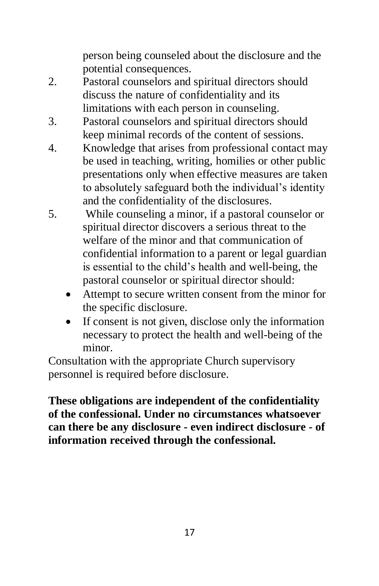person being counseled about the disclosure and the potential consequences.

- 2. Pastoral counselors and spiritual directors should discuss the nature of confidentiality and its limitations with each person in counseling.
- 3. Pastoral counselors and spiritual directors should keep minimal records of the content of sessions.
- 4. Knowledge that arises from professional contact may be used in teaching, writing, homilies or other public presentations only when effective measures are taken to absolutely safeguard both the individual's identity and the confidentiality of the disclosures.
- 5. While counseling a minor, if a pastoral counselor or spiritual director discovers a serious threat to the welfare of the minor and that communication of confidential information to a parent or legal guardian is essential to the child's health and well-being, the pastoral counselor or spiritual director should:
	- Attempt to secure written consent from the minor for the specific disclosure.
	- If consent is not given, disclose only the information necessary to protect the health and well-being of the minor.

Consultation with the appropriate Church supervisory personnel is required before disclosure.

**These obligations are independent of the confidentiality of the confessional. Under no circumstances whatsoever can there be any disclosure - even indirect disclosure - of information received through the confessional.**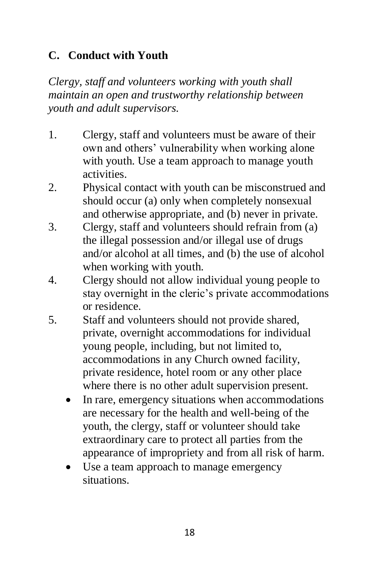#### **C. Conduct with Youth**

*Clergy, staff and volunteers working with youth shall maintain an open and trustworthy relationship between youth and adult supervisors.*

- 1. Clergy, staff and volunteers must be aware of their own and others' vulnerability when working alone with youth. Use a team approach to manage youth activities.
- 2. Physical contact with youth can be misconstrued and should occur (a) only when completely nonsexual and otherwise appropriate, and (b) never in private.
- 3. Clergy, staff and volunteers should refrain from (a) the illegal possession and/or illegal use of drugs and/or alcohol at all times, and (b) the use of alcohol when working with youth.
- 4. Clergy should not allow individual young people to stay overnight in the cleric's private accommodations or residence.
- 5. Staff and volunteers should not provide shared, private, overnight accommodations for individual young people, including, but not limited to, accommodations in any Church owned facility, private residence, hotel room or any other place where there is no other adult supervision present.
	- In rare, emergency situations when accommodations are necessary for the health and well-being of the youth, the clergy, staff or volunteer should take extraordinary care to protect all parties from the appearance of impropriety and from all risk of harm.
	- Use a team approach to manage emergency situations.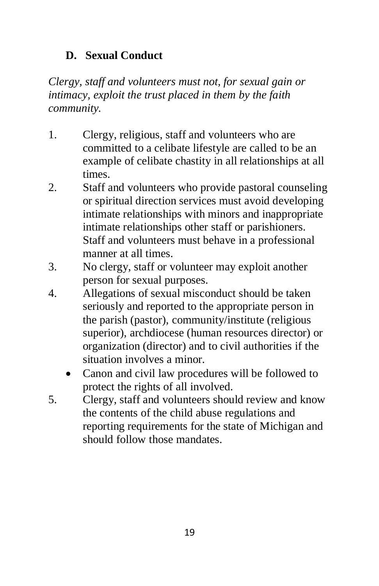#### **D. Sexual Conduct**

*Clergy, staff and volunteers must not, for sexual gain or intimacy, exploit the trust placed in them by the faith community.*

- 1. Clergy, religious, staff and volunteers who are committed to a celibate lifestyle are called to be an example of celibate chastity in all relationships at all times.
- 2. Staff and volunteers who provide pastoral counseling or spiritual direction services must avoid developing intimate relationships with minors and inappropriate intimate relationships other staff or parishioners. Staff and volunteers must behave in a professional manner at all times.
- 3. No clergy, staff or volunteer may exploit another person for sexual purposes.
- 4. Allegations of sexual misconduct should be taken seriously and reported to the appropriate person in the parish (pastor), community/institute (religious superior), archdiocese (human resources director) or organization (director) and to civil authorities if the situation involves a minor.
	- Canon and civil law procedures will be followed to protect the rights of all involved.
- 5. Clergy, staff and volunteers should review and know the contents of the child abuse regulations and reporting requirements for the state of Michigan and should follow those mandates.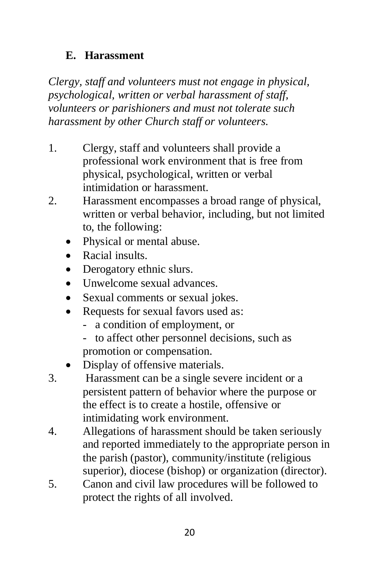#### **E. Harassment**

*Clergy, staff and volunteers must not engage in physical, psychological, written or verbal harassment of staff, volunteers or parishioners and must not tolerate such harassment by other Church staff or volunteers.*

- 1. Clergy, staff and volunteers shall provide a professional work environment that is free from physical, psychological, written or verbal intimidation or harassment.
- 2. Harassment encompasses a broad range of physical, written or verbal behavior, including, but not limited to, the following:
	- Physical or mental abuse.
	- Racial insults.
	- Derogatory ethnic slurs.
	- Unwelcome sexual advances.
	- Sexual comments or sexual jokes.
	- Requests for sexual favors used as:
		- a condition of employment, or
		- to affect other personnel decisions, such as promotion or compensation.
	- Display of offensive materials.
- 3. Harassment can be a single severe incident or a persistent pattern of behavior where the purpose or the effect is to create a hostile, offensive or intimidating work environment.
- 4. Allegations of harassment should be taken seriously and reported immediately to the appropriate person in the parish (pastor), community/institute (religious superior), diocese (bishop) or organization (director).
- 5. Canon and civil law procedures will be followed to protect the rights of all involved.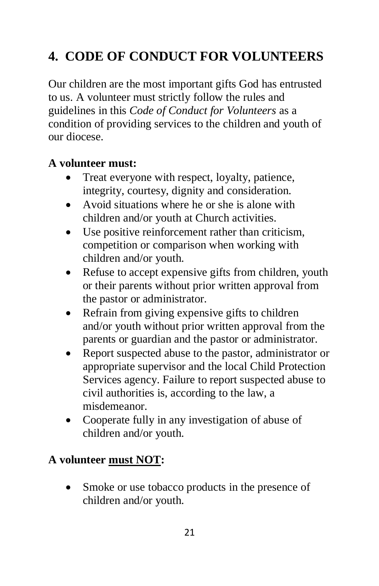# **4. CODE OF CONDUCT FOR VOLUNTEERS**

Our children are the most important gifts God has entrusted to us. A volunteer must strictly follow the rules and guidelines in this *Code of Conduct for Volunteers* as a condition of providing services to the children and youth of our diocese.

#### **A volunteer must:**

- Treat everyone with respect, loyalty, patience, integrity, courtesy, dignity and consideration.
- Avoid situations where he or she is alone with children and/or youth at Church activities.
- Use positive reinforcement rather than criticism, competition or comparison when working with children and/or youth.
- Refuse to accept expensive gifts from children, youth or their parents without prior written approval from the pastor or administrator.
- Refrain from giving expensive gifts to children and/or youth without prior written approval from the parents or guardian and the pastor or administrator.
- Report suspected abuse to the pastor, administrator or appropriate supervisor and the local Child Protection Services agency. Failure to report suspected abuse to civil authorities is, according to the law, a misdemeanor.
- Cooperate fully in any investigation of abuse of children and/or youth.

#### **A volunteer must NOT:**

Smoke or use tobacco products in the presence of children and/or youth.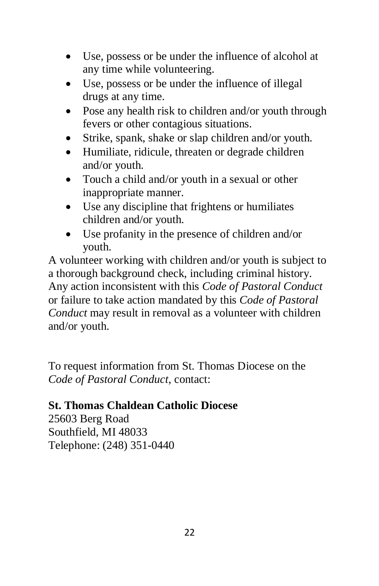- Use, possess or be under the influence of alcohol at any time while volunteering.
- Use, possess or be under the influence of illegal drugs at any time.
- Pose any health risk to children and/or youth through fevers or other contagious situations.
- Strike, spank, shake or slap children and/or youth.
- Humiliate, ridicule, threaten or degrade children and/or youth.
- Touch a child and/or youth in a sexual or other inappropriate manner.
- Use any discipline that frightens or humiliates children and/or youth.
- Use profanity in the presence of children and/or youth.

A volunteer working with children and/or youth is subject to a thorough background check, including criminal history. Any action inconsistent with this *Code of Pastoral Conduct*  or failure to take action mandated by this *Code of Pastoral Conduct* may result in removal as a volunteer with children and/or youth.

To request information from St. Thomas Diocese on the *Code of Pastoral Conduct*, contact:

#### **St. Thomas Chaldean Catholic Diocese**

25603 Berg Road Southfield, MI 48033 Telephone: (248) 351-0440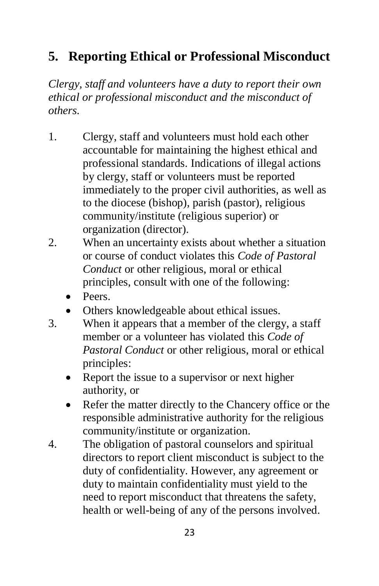# **5. Reporting Ethical or Professional Misconduct**

*Clergy, staff and volunteers have a duty to report their own ethical or professional misconduct and the misconduct of others.*

- 1. Clergy, staff and volunteers must hold each other accountable for maintaining the highest ethical and professional standards. Indications of illegal actions by clergy, staff or volunteers must be reported immediately to the proper civil authorities, as well as to the diocese (bishop), parish (pastor), religious community/institute (religious superior) or organization (director).
- 2. When an uncertainty exists about whether a situation or course of conduct violates this *Code of Pastoral Conduct* or other religious, moral or ethical principles, consult with one of the following:
	- Peers.
	- Others knowledgeable about ethical issues.
- 3. When it appears that a member of the clergy, a staff member or a volunteer has violated this *Code of Pastoral Conduct* or other religious, moral or ethical principles:
	- Report the issue to a supervisor or next higher authority, or
	- Refer the matter directly to the Chancery office or the responsible administrative authority for the religious community/institute or organization.
- 4. The obligation of pastoral counselors and spiritual directors to report client misconduct is subject to the duty of confidentiality. However, any agreement or duty to maintain confidentiality must yield to the need to report misconduct that threatens the safety, health or well-being of any of the persons involved.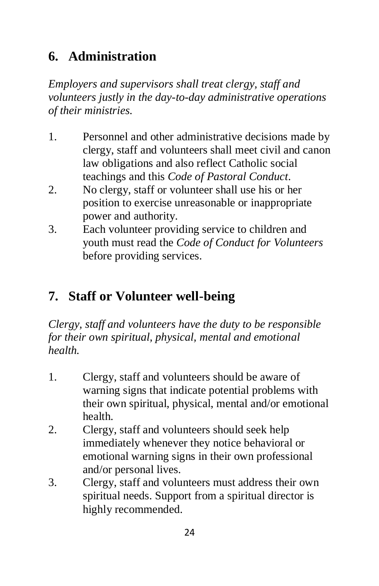# **6. Administration**

*Employers and supervisors shall treat clergy, staff and volunteers justly in the day-to-day administrative operations of their ministries.*

- 1. Personnel and other administrative decisions made by clergy, staff and volunteers shall meet civil and canon law obligations and also reflect Catholic social teachings and this *Code of Pastoral Conduct*.
- 2. No clergy, staff or volunteer shall use his or her position to exercise unreasonable or inappropriate power and authority.
- 3. Each volunteer providing service to children and youth must read the *Code of Conduct for Volunteers*  before providing services.

# **7. Staff or Volunteer well-being**

*Clergy, staff and volunteers have the duty to be responsible for their own spiritual, physical, mental and emotional health.*

- 1. Clergy, staff and volunteers should be aware of warning signs that indicate potential problems with their own spiritual, physical, mental and/or emotional health.
- 2. Clergy, staff and volunteers should seek help immediately whenever they notice behavioral or emotional warning signs in their own professional and/or personal lives.
- 3. Clergy, staff and volunteers must address their own spiritual needs. Support from a spiritual director is highly recommended.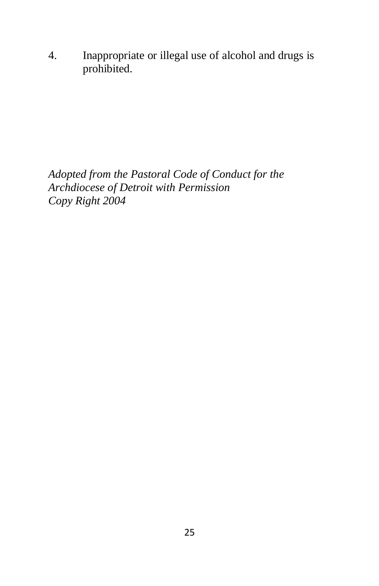4. Inappropriate or illegal use of alcohol and drugs is prohibited.

*Adopted from the Pastoral Code of Conduct for the Archdiocese of Detroit with Permission Copy Right 2004*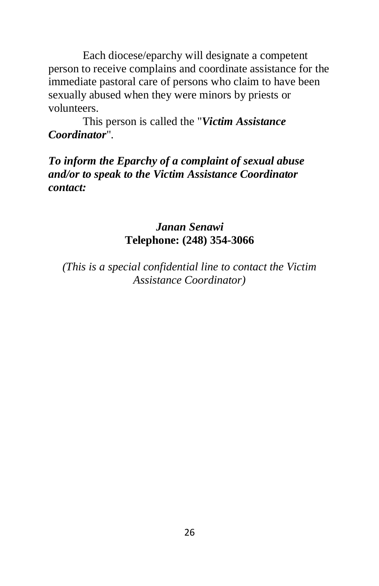Each diocese/eparchy will designate a competent person to receive complains and coordinate assistance for the immediate pastoral care of persons who claim to have been sexually abused when they were minors by priests or volunteers.

This person is called the "*Victim Assistance Coordinator*".

#### *To inform the Eparchy of a complaint of sexual abuse and/or to speak to the Victim Assistance Coordinator contact:*

#### *Janan Senawi* **Telephone: (248) 354-3066**

*(This is a special confidential line to contact the Victim Assistance Coordinator)*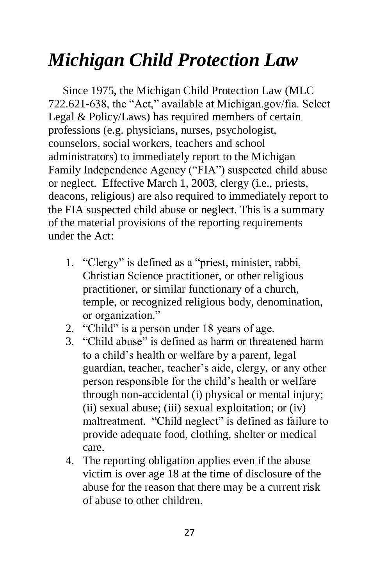# *Michigan Child Protection Law*

 Since 1975, the Michigan Child Protection Law (MLC 722.621-638, the "Act," available at Michigan.gov/fia. Select Legal & Policy/Laws) has required members of certain professions (e.g. physicians, nurses, psychologist, counselors, social workers, teachers and school administrators) to immediately report to the Michigan Family Independence Agency ("FIA") suspected child abuse or neglect. Effective March 1, 2003, clergy (i.e., priests, deacons, religious) are also required to immediately report to the FIA suspected child abuse or neglect. This is a summary of the material provisions of the reporting requirements under the Act:

- 1. "Clergy" is defined as a "priest, minister, rabbi, Christian Science practitioner, or other religious practitioner, or similar functionary of a church, temple, or recognized religious body, denomination, or organization."
- 2. "Child" is a person under 18 years of age.
- 3. "Child abuse" is defined as harm or threatened harm to a child's health or welfare by a parent, legal guardian, teacher, teacher's aide, clergy, or any other person responsible for the child's health or welfare through non-accidental (i) physical or mental injury; (ii) sexual abuse; (iii) sexual exploitation; or (iv) maltreatment. "Child neglect" is defined as failure to provide adequate food, clothing, shelter or medical care.
- 4. The reporting obligation applies even if the abuse victim is over age 18 at the time of disclosure of the abuse for the reason that there may be a current risk of abuse to other children.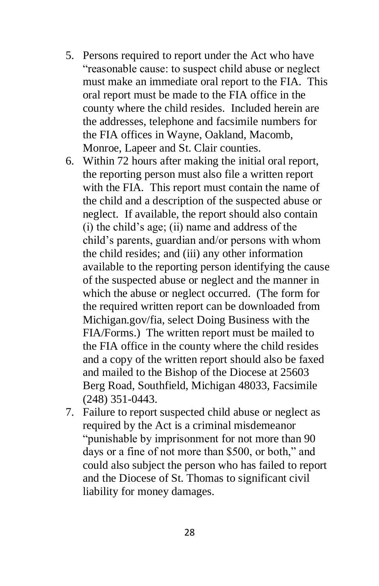- 5. Persons required to report under the Act who have "reasonable cause: to suspect child abuse or neglect must make an immediate oral report to the FIA. This oral report must be made to the FIA office in the county where the child resides. Included herein are the addresses, telephone and facsimile numbers for the FIA offices in Wayne, Oakland, Macomb, Monroe, Lapeer and St. Clair counties.
- 6. Within 72 hours after making the initial oral report, the reporting person must also file a written report with the FIA. This report must contain the name of the child and a description of the suspected abuse or neglect. If available, the report should also contain (i) the child's age; (ii) name and address of the child's parents, guardian and/or persons with whom the child resides; and (iii) any other information available to the reporting person identifying the cause of the suspected abuse or neglect and the manner in which the abuse or neglect occurred. (The form for the required written report can be downloaded from Michigan.gov/fia, select Doing Business with the FIA/Forms.) The written report must be mailed to the FIA office in the county where the child resides and a copy of the written report should also be faxed and mailed to the Bishop of the Diocese at 25603 Berg Road, Southfield, Michigan 48033, Facsimile (248) 351-0443.
- 7. Failure to report suspected child abuse or neglect as required by the Act is a criminal misdemeanor "punishable by imprisonment for not more than 90 days or a fine of not more than \$500, or both," and could also subject the person who has failed to report and the Diocese of St. Thomas to significant civil liability for money damages.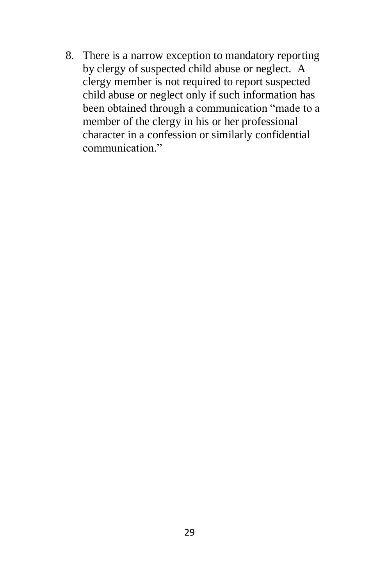8. There is a narrow exception to mandatory reporting by clergy of suspected child abuse or neglect. A clergy member is not required to report suspected child abuse or neglect only if such information has been obtained through a communication "made to a member of the clergy in his or her professional character in a confession or similarly confidential communication."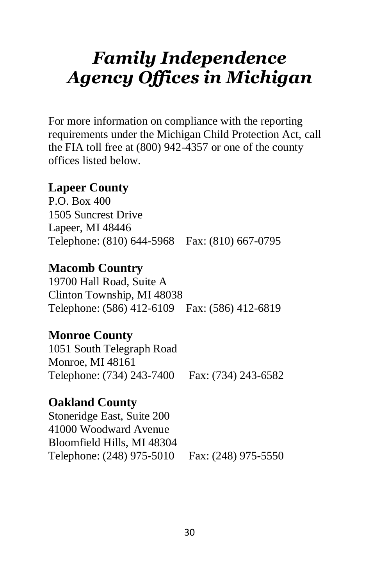# *Family Independence Agency Offices in Michigan*

For more information on compliance with the reporting requirements under the Michigan Child Protection Act, call the FIA toll free at (800) 942-4357 or one of the county offices listed below.

#### **Lapeer County**

P.O. Box 400 1505 Suncrest Drive Lapeer, MI 48446 Telephone: (810) 644-5968 Fax: (810) 667-0795

#### **Macomb Country**

19700 Hall Road, Suite A Clinton Township, MI 48038 Telephone: (586) 412-6109 Fax: (586) 412-6819

#### **Monroe County**

1051 South Telegraph Road Monroe, MI 48161 Telephone: (734) 243-7400 Fax: (734) 243-6582

#### **Oakland County**

Stoneridge East, Suite 200 41000 Woodward Avenue Bloomfield Hills, MI 48304 Telephone: (248) 975-5010 Fax: (248) 975-5550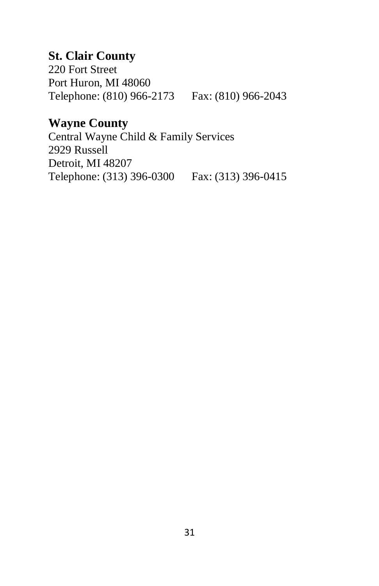#### **St. Clair County**

220 Fort Street Port Huron, MI 48060 Telephone: (810) 966-2173 Fax: (810) 966-2043

#### **Wayne County**

Central Wayne Child & Family Services 2929 Russell Detroit, MI 48207 Telephone: (313) 396-0300 Fax: (313) 396-0415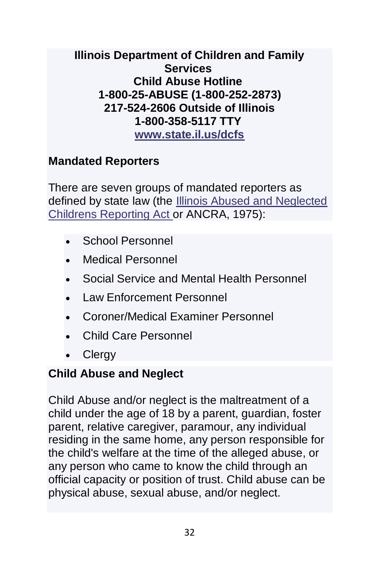#### **Illinois Department of Children and Family Services Child Abuse Hotline 1-800-25-ABUSE (1-800-252-2873) 217-524-2606 Outside of Illinois 1-800-358-5117 TTY [www.state.il.us/dcfs](http://www.state.il.us/dcfs)**

#### **Mandated Reporters**

There are seven groups of mandated reporters as defined by state law (the [Illinois Abused and Neglected](https://www.dcfstraining.org/manrep/docs/Abused-and-Neglected-Child-Reporting-Act.pdf)  [Childrens Reporting Act](https://www.dcfstraining.org/manrep/docs/Abused-and-Neglected-Child-Reporting-Act.pdf) or ANCRA, 1975):

- School Personnel
- Medical Personnel
- Social Service and Mental Health Personnel
- Law Enforcement Personnel
- Coroner/Medical Examiner Personnel
- Child Care Personnel
- **Clergy**

#### **Child Abuse and Neglect**

Child Abuse and/or neglect is the maltreatment of a child under the age of 18 by a parent, guardian, foster parent, relative caregiver, paramour, any individual residing in the same home, any person responsible for the child's welfare at the time of the alleged abuse, or any person who came to know the child through an official capacity or position of trust. Child abuse can be physical abuse, sexual abuse, and/or neglect.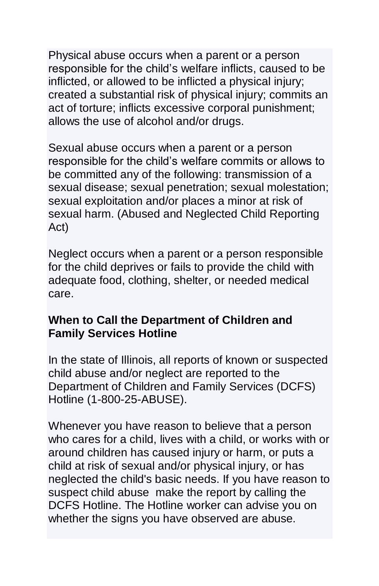Physical abuse occurs when a parent or a person responsible for the child's welfare inflicts, caused to be inflicted, or allowed to be inflicted a physical injury; created a substantial risk of physical injury; commits an act of torture; inflicts excessive corporal punishment; allows the use of alcohol and/or drugs.

Sexual abuse occurs when a parent or a person responsible for the child's welfare commits or allows to be committed any of the following: transmission of a sexual disease; sexual penetration; sexual molestation; sexual exploitation and/or places a minor at risk of sexual harm. (Abused and Neglected Child Reporting Act)

Neglect occurs when a parent or a person responsible for the child deprives or fails to provide the child with adequate food, clothing, shelter, or needed medical care.

#### **When to Call the Department of Children and Family Services Hotline**

In the state of Illinois, all reports of known or suspected child abuse and/or neglect are reported to the Department of Children and Family Services (DCFS) Hotline (1-800-25-ABUSE).

Whenever you have reason to believe that a person who cares for a child, lives with a child, or works with or around children has caused injury or harm, or puts a child at risk of sexual and/or physical injury, or has neglected the child's basic needs. If you have reason to suspect child abuse make the report by calling the DCFS Hotline. The Hotline worker can advise you on whether the signs you have observed are abuse.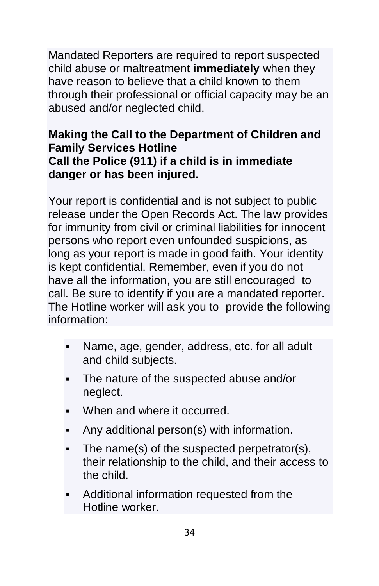Mandated Reporters are required to report suspected child abuse or maltreatment **immediately** when they have reason to believe that a child known to them through their professional or official capacity may be an abused and/or neglected child.

#### **Making the Call to the Department of Children and Family Services Hotline Call the Police (911) if a child is in immediate danger or has been injured.**

Your report is confidential and is not subject to public release under the Open Records Act. The law provides for immunity from civil or criminal liabilities for innocent persons who report even unfounded suspicions, as long as your report is made in good faith. Your identity is kept confidential. Remember, even if you do not have all the information, you are still encouraged to call. Be sure to identify if you are a mandated reporter. The Hotline worker will ask you to provide the following information:

- Name, age, gender, address, etc. for all adult and child subjects.
- The nature of the suspected abuse and/or neglect.
- When and where it occurred.
- **•** Any additional person(s) with information.
- The name(s) of the suspected perpetrator(s), their relationship to the child, and their access to the child.
- Additional information requested from the Hotline worker.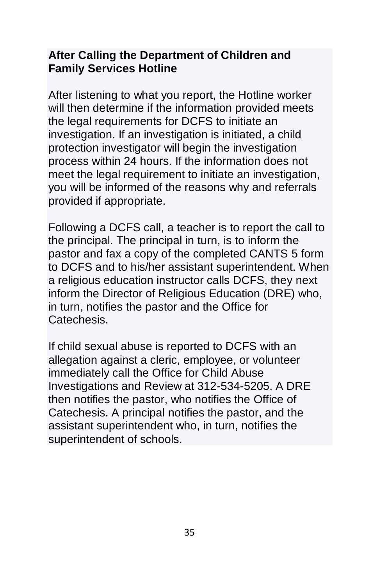#### **After Calling the Department of Children and Family Services Hotline**

After listening to what you report, the Hotline worker will then determine if the information provided meets the legal requirements for DCFS to initiate an investigation. If an investigation is initiated, a child protection investigator will begin the investigation process within 24 hours. If the information does not meet the legal requirement to initiate an investigation, you will be informed of the reasons why and referrals provided if appropriate.

Following a DCFS call, a teacher is to report the call to the principal. The principal in turn, is to inform the pastor and fax a copy of the completed CANTS 5 form to DCFS and to his/her assistant superintendent. When a religious education instructor calls DCFS, they next inform the Director of Religious Education (DRE) who, in turn, notifies the pastor and the Office for Catechesis.

If child sexual abuse is reported to DCFS with an allegation against a cleric, employee, or volunteer immediately call the Office for Child Abuse Investigations and Review at 312-534-5205. A DRE then notifies the pastor, who notifies the Office of Catechesis. A principal notifies the pastor, and the assistant superintendent who, in turn, notifies the superintendent of schools.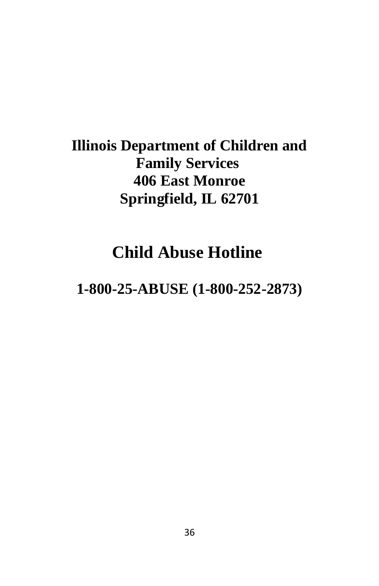# **Illinois Department of Children and Family Services 406 East Monroe Springfield, IL 62701**

# **Child Abuse Hotline**

# **1-800-25-ABUSE (1-800-252-2873)**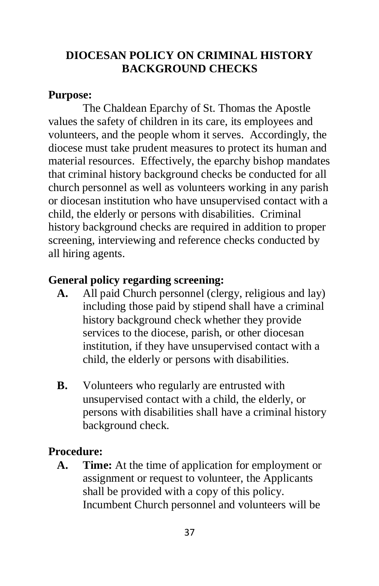#### **DIOCESAN POLICY ON CRIMINAL HISTORY BACKGROUND CHECKS**

#### **Purpose:**

The Chaldean Eparchy of St. Thomas the Apostle values the safety of children in its care, its employees and volunteers, and the people whom it serves. Accordingly, the diocese must take prudent measures to protect its human and material resources. Effectively, the eparchy bishop mandates that criminal history background checks be conducted for all church personnel as well as volunteers working in any parish or diocesan institution who have unsupervised contact with a child, the elderly or persons with disabilities. Criminal history background checks are required in addition to proper screening, interviewing and reference checks conducted by all hiring agents.

#### **General policy regarding screening:**

- **A.** All paid Church personnel (clergy, religious and lay) including those paid by stipend shall have a criminal history background check whether they provide services to the diocese, parish, or other diocesan institution, if they have unsupervised contact with a child, the elderly or persons with disabilities.
- **B.** Volunteers who regularly are entrusted with unsupervised contact with a child, the elderly, or persons with disabilities shall have a criminal history background check.

#### **Procedure:**

 **A. Time:** At the time of application for employment or assignment or request to volunteer, the Applicants shall be provided with a copy of this policy. Incumbent Church personnel and volunteers will be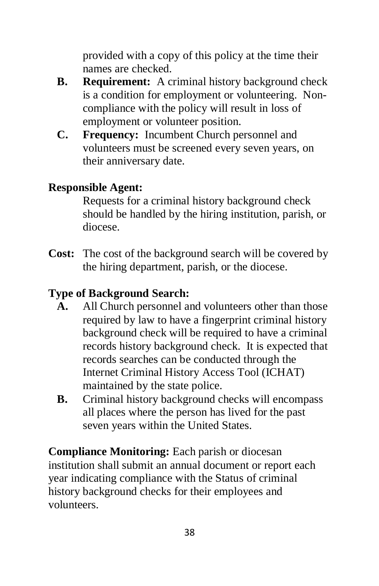provided with a copy of this policy at the time their names are checked.

- **B. Requirement:** A criminal history background check is a condition for employment or volunteering. Noncompliance with the policy will result in loss of employment or volunteer position.
- **C. Frequency:** Incumbent Church personnel and volunteers must be screened every seven years, on their anniversary date.

#### **Responsible Agent:**

Requests for a criminal history background check should be handled by the hiring institution, parish, or diocese.

**Cost:** The cost of the background search will be covered by the hiring department, parish, or the diocese.

#### **Type of Background Search:**

- **A.** All Church personnel and volunteers other than those required by law to have a fingerprint criminal history background check will be required to have a criminal records history background check. It is expected that records searches can be conducted through the Internet Criminal History Access Tool (ICHAT) maintained by the state police.
- **B.** Criminal history background checks will encompass all places where the person has lived for the past seven years within the United States.

**Compliance Monitoring:** Each parish or diocesan institution shall submit an annual document or report each year indicating compliance with the Status of criminal history background checks for their employees and volunteers.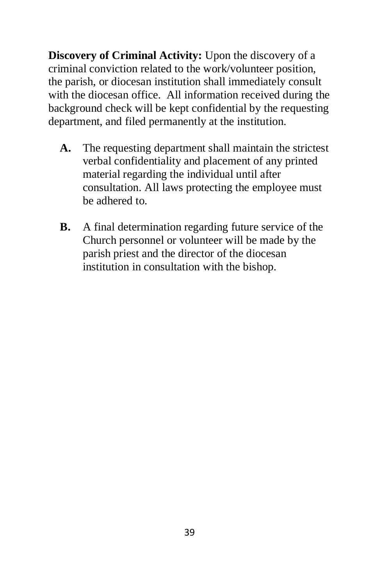**Discovery of Criminal Activity:** Upon the discovery of a criminal conviction related to the work/volunteer position, the parish, or diocesan institution shall immediately consult with the diocesan office. All information received during the background check will be kept confidential by the requesting department, and filed permanently at the institution.

- **A.** The requesting department shall maintain the strictest verbal confidentiality and placement of any printed material regarding the individual until after consultation. All laws protecting the employee must be adhered to.
- **B.** A final determination regarding future service of the Church personnel or volunteer will be made by the parish priest and the director of the diocesan institution in consultation with the bishop.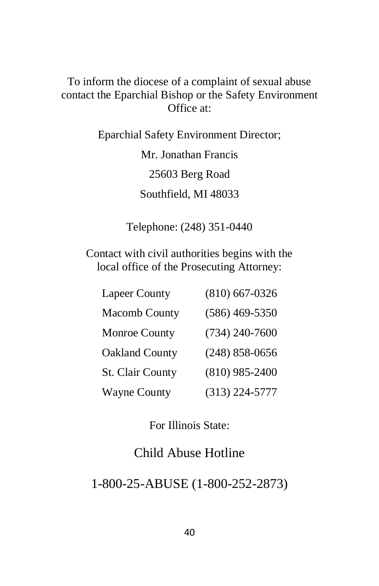#### To inform the diocese of a complaint of sexual abuse contact the Eparchial Bishop or the Safety Environment Office at:

Eparchial Safety Environment Director; Mr. Jonathan Francis 25603 Berg Road Southfield, MI 48033

Telephone: (248) 351-0440

Contact with civil authorities begins with the local office of the Prosecuting Attorney:

| <b>Lapeer County</b>    | $(810)$ 667-0326   |
|-------------------------|--------------------|
| <b>Macomb County</b>    | $(586)$ 469-5350   |
| <b>Monroe County</b>    | $(734)$ 240-7600   |
| <b>Oakland County</b>   | $(248) 858 - 0656$ |
| <b>St. Clair County</b> | $(810)$ 985-2400   |
| <b>Wayne County</b>     | $(313)$ 224-5777   |

For Illinois State:

#### Child Abuse Hotline

1-800-25-ABUSE (1-800-252-2873)